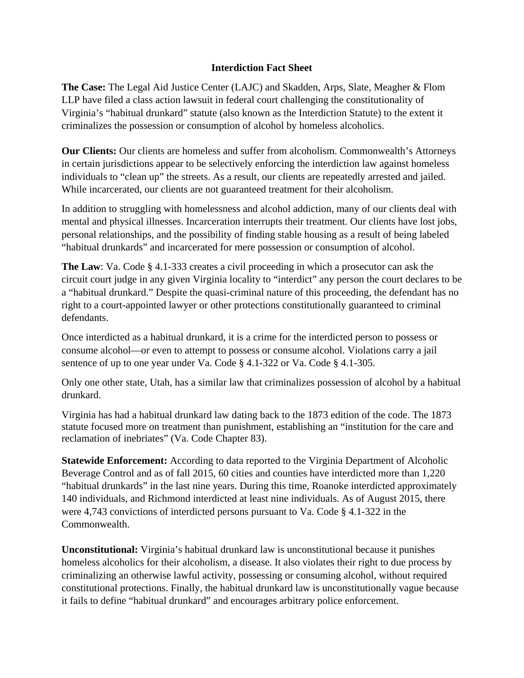## **Interdiction Fact Sheet**

**The Case:** The Legal Aid Justice Center (LAJC) and Skadden, Arps, Slate, Meagher & Flom LLP have filed a class action lawsuit in federal court challenging the constitutionality of Virginia's "habitual drunkard" statute (also known as the Interdiction Statute) to the extent it criminalizes the possession or consumption of alcohol by homeless alcoholics.

**Our Clients:** Our clients are homeless and suffer from alcoholism. Commonwealth's Attorneys in certain jurisdictions appear to be selectively enforcing the interdiction law against homeless individuals to "clean up" the streets. As a result, our clients are repeatedly arrested and jailed. While incarcerated, our clients are not guaranteed treatment for their alcoholism.

In addition to struggling with homelessness and alcohol addiction, many of our clients deal with mental and physical illnesses. Incarceration interrupts their treatment. Our clients have lost jobs, personal relationships, and the possibility of finding stable housing as a result of being labeled "habitual drunkards" and incarcerated for mere possession or consumption of alcohol.

**The Law**: Va. Code § 4.1-333 creates a civil proceeding in which a prosecutor can ask the circuit court judge in any given Virginia locality to "interdict" any person the court declares to be a "habitual drunkard." Despite the quasi-criminal nature of this proceeding, the defendant has no right to a court-appointed lawyer or other protections constitutionally guaranteed to criminal defendants.

Once interdicted as a habitual drunkard, it is a crime for the interdicted person to possess or consume alcohol—or even to attempt to possess or consume alcohol. Violations carry a jail sentence of up to one year under Va. Code § 4.1-322 or Va. Code § 4.1-305.

Only one other state, Utah, has a similar law that criminalizes possession of alcohol by a habitual drunkard.

Virginia has had a habitual drunkard law dating back to the 1873 edition of the code. The 1873 statute focused more on treatment than punishment, establishing an "institution for the care and reclamation of inebriates" (Va. Code Chapter 83).

**Statewide Enforcement:** According to data reported to the Virginia Department of Alcoholic Beverage Control and as of fall 2015, 60 cities and counties have interdicted more than 1,220 "habitual drunkards" in the last nine years. During this time, Roanoke interdicted approximately 140 individuals, and Richmond interdicted at least nine individuals. As of August 2015, there were 4,743 convictions of interdicted persons pursuant to Va. Code § 4.1-322 in the Commonwealth.

**Unconstitutional:** Virginia's habitual drunkard law is unconstitutional because it punishes homeless alcoholics for their alcoholism, a disease. It also violates their right to due process by criminalizing an otherwise lawful activity, possessing or consuming alcohol, without required constitutional protections. Finally, the habitual drunkard law is unconstitutionally vague because it fails to define "habitual drunkard" and encourages arbitrary police enforcement.